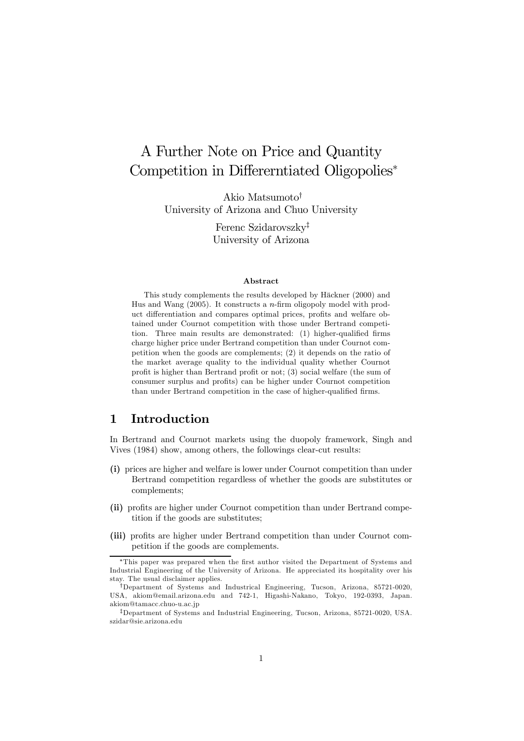# A Further Note on Price and Quantity Competition in Differerntiated Oligopolies<sup>∗</sup>

Akio Matsumoto† University of Arizona and Chuo University

> Ferenc Szidarovszky‡ University of Arizona

#### Abstract

This study complements the results developed by Häckner (2000) and Hus and Wang  $(2005)$ . It constructs a *n*-firm oligopoly model with product differentiation and compares optimal prices, profits and welfare obtained under Cournot competition with those under Bertrand competition. Three main results are demonstrated: (1) higher-qualified firms charge higher price under Bertrand competition than under Cournot competition when the goods are complements; (2) it depends on the ratio of the market average quality to the individual quality whether Cournot profit is higher than Bertrand profit or not; (3) social welfare (the sum of consumer surplus and profits) can be higher under Cournot competition than under Bertrand competition in the case of higher-qualified firms.

### 1 Introduction

In Bertrand and Cournot markets using the duopoly framework, Singh and Vives (1984) show, among others, the followings clear-cut results:

- (i) prices are higher and welfare is lower under Cournot competition than under Bertrand competition regardless of whether the goods are substitutes or complements;
- (ii) profits are higher under Cournot competition than under Bertrand competition if the goods are substitutes;
- (iii) profits are higher under Bertrand competition than under Cournot competition if the goods are complements.

<sup>∗</sup>This paper was prepared when the first author visited the Department of Systems and Industrial Engineering of the University of Arizona. He appreciated its hospitality over his stay. The usual disclaimer applies.

<sup>†</sup>Department of Systems and Industrical Engineering, Tucson, Arizona, 85721-0020, USA, akiom@email.arizona.edu and 742-1, Higashi-Nakano, Tokyo, 192-0393, Japan. akiom@tamacc.chuo-u.ac.jp

<sup>‡</sup>Department of Systems and Industrial Engineering, Tucson, Arizona, 85721-0020, USA. szidar@sie.arizona.edu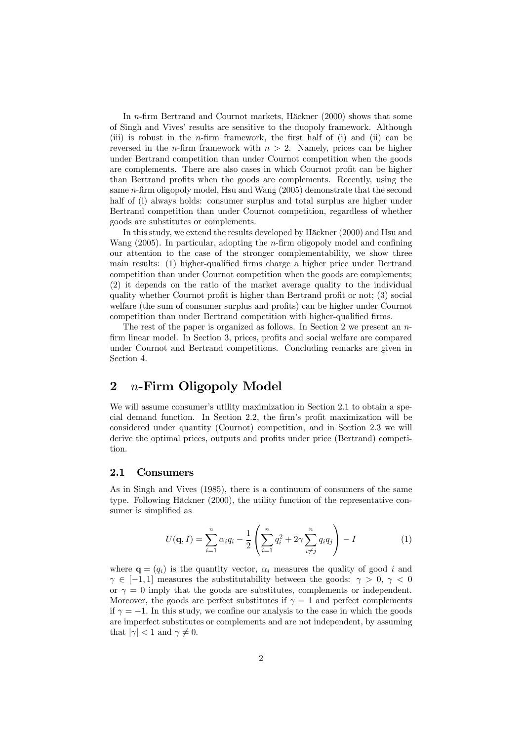In n-firm Bertrand and Cournot markets, Häckner (2000) shows that some of Singh and Vives' results are sensitive to the duopoly framework. Although (iii) is robust in the n-firm framework, the first half of (i) and (ii) can be reversed in the *n*-firm framework with  $n > 2$ . Namely, prices can be higher under Bertrand competition than under Cournot competition when the goods are complements. There are also cases in which Cournot profit can be higher than Bertrand profits when the goods are complements. Recently, using the same n-firm oligopoly model, Hsu and Wang (2005) demonstrate that the second half of (i) always holds: consumer surplus and total surplus are higher under Bertrand competition than under Cournot competition, regardless of whether goods are substitutes or complements.

In this study, we extend the results developed by Häckner (2000) and Hsu and Wang (2005). In particular, adopting the n-firm oligopoly model and confining our attention to the case of the stronger complementability, we show three main results: (1) higher-qualified firms charge a higher price under Bertrand competition than under Cournot competition when the goods are complements; (2) it depends on the ratio of the market average quality to the individual quality whether Cournot profit is higher than Bertrand profit or not; (3) social welfare (the sum of consumer surplus and profits) can be higher under Cournot competition than under Bertrand competition with higher-qualified firms.

The rest of the paper is organized as follows. In Section 2 we present an  $n$ firm linear model. In Section 3, prices, profits and social welfare are compared under Cournot and Bertrand competitions. Concluding remarks are given in Section 4.

### 2  $n$ -Firm Oligopoly Model

We will assume consumer's utility maximization in Section 2.1 to obtain a special demand function. In Section 2.2, the firm's profit maximization will be considered under quantity (Cournot) competition, and in Section 2.3 we will derive the optimal prices, outputs and profits under price (Bertrand) competition.

### 2.1 Consumers

As in Singh and Vives (1985), there is a continuum of consumers of the same type. Following Häckner (2000), the utility function of the representative consumer is simplified as

$$
U(\mathbf{q}, I) = \sum_{i=1}^{n} \alpha_i q_i - \frac{1}{2} \left( \sum_{i=1}^{n} q_i^2 + 2\gamma \sum_{i \neq j}^{n} q_i q_j \right) - I \tag{1}
$$

where  $\mathbf{q} = (q_i)$  is the quantity vector,  $\alpha_i$  measures the quality of good i and  $\gamma \in [-1, 1]$  measures the substitutability between the goods:  $\gamma > 0, \gamma < 0$ or  $\gamma = 0$  imply that the goods are substitutes, complements or independent. Moreover, the goods are perfect substitutes if  $\gamma = 1$  and perfect complements if  $\gamma = -1$ . In this study, we confine our analysis to the case in which the goods are imperfect substitutes or complements and are not independent, by assuming that  $|\gamma| < 1$  and  $\gamma \neq 0$ .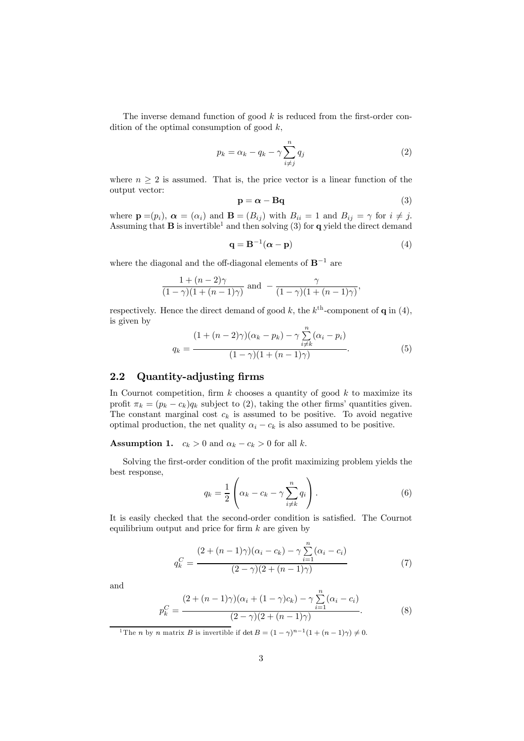The inverse demand function of good  $k$  is reduced from the first-order condition of the optimal consumption of good  $k$ ,

$$
p_k = \alpha_k - q_k - \gamma \sum_{i \neq j}^{n} q_j \tag{2}
$$

where  $n \geq 2$  is assumed. That is, the price vector is a linear function of the output vector:

$$
\mathbf{p} = \boldsymbol{\alpha} - \mathbf{B}\mathbf{q} \tag{3}
$$

where  $\mathbf{p} = (p_i)$ ,  $\boldsymbol{\alpha} = (\alpha_i)$  and  $\mathbf{B} = (B_{ij})$  with  $B_{ii} = 1$  and  $B_{ij} = \gamma$  for  $i \neq j$ . Assuming that  $\bf{B}$  is invertible<sup>1</sup> and then solving (3) for  $\bf{q}$  yield the direct demand

$$
\mathbf{q} = \mathbf{B}^{-1}(\boldsymbol{\alpha} - \mathbf{p})
$$
 (4)

where the diagonal and the off-diagonal elements of  $\mathbf{B}^{-1}$  are

$$
\frac{1+(n-2)\gamma}{(1-\gamma)(1+(n-1)\gamma)} \text{ and } -\frac{\gamma}{(1-\gamma)(1+(n-1)\gamma)},
$$

respectively. Hence the direct demand of good k, the  $k^{\text{th}}$ -component of **q** in (4), is given by

$$
q_k = \frac{(1 + (n-2)\gamma)(\alpha_k - p_k) - \gamma \sum_{i \neq k}^n (\alpha_i - p_i)}{(1 - \gamma)(1 + (n-1)\gamma)}.
$$
\n(5)

### 2.2 Quantity-adjusting firms

In Cournot competition, firm  $k$  chooses a quantity of good  $k$  to maximize its profit  $\pi_k = (p_k - c_k)q_k$  subject to (2), taking the other firms' quantities given. The constant marginal cost  $c_k$  is assumed to be positive. To avoid negative optimal production, the net quality  $\alpha_i - c_k$  is also assumed to be positive.

**Assumption 1.**  $c_k > 0$  and  $\alpha_k - c_k > 0$  for all k.

Solving the first-order condition of the profit maximizing problem yields the best response,

$$
q_k = \frac{1}{2} \left( \alpha_k - c_k - \gamma \sum_{i \neq k}^n q_i \right). \tag{6}
$$

It is easily checked that the second-order condition is satisfied. The Cournot equilibrium output and price for firm  $k$  are given by

$$
q_k^C = \frac{(2 + (n-1)\gamma)(\alpha_i - c_k) - \gamma \sum_{i=1}^n (\alpha_i - c_i)}{(2 - \gamma)(2 + (n-1)\gamma)}
$$
(7)

and

$$
p_k^C = \frac{(2 + (n-1)\gamma)(\alpha_i + (1-\gamma)c_k) - \gamma \sum_{i=1}^n (\alpha_i - c_i)}{(2-\gamma)(2 + (n-1)\gamma)}.
$$
 (8)

<sup>1</sup>The *n* by *n* matrix *B* is invertible if det  $B = (1 - \gamma)^{n-1}(1 + (n-1)\gamma) \neq 0$ .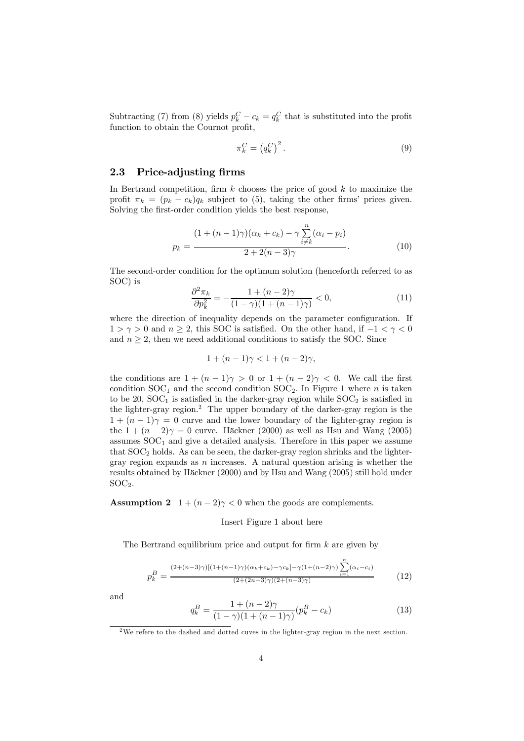Subtracting (7) from (8) yields  $p_k^C - c_k = q_k^C$  that is substituted into the profit function to obtain the Cournot profit,

$$
\pi_k^C = \left(q_k^C\right)^2. \tag{9}
$$

### 2.3 Price-adjusting firms

In Bertrand competition, firm  $k$  chooses the price of good  $k$  to maximize the profit  $\pi_k = (p_k - c_k)q_k$  subject to (5), taking the other firms' prices given. Solving the first-order condition yields the best response,

$$
p_k = \frac{(1 + (n-1)\gamma)(\alpha_k + c_k) - \gamma \sum_{i \neq k}^n (\alpha_i - p_i)}{2 + 2(n-3)\gamma}.
$$
 (10)

The second-order condition for the optimum solution (henceforth referred to as SOC) is

$$
\frac{\partial^2 \pi_k}{\partial p_k^2} = -\frac{1 + (n-2)\gamma}{(1-\gamma)(1 + (n-1)\gamma)} < 0,\tag{11}
$$

where the direction of inequality depends on the parameter configuration. If  $1 > \gamma > 0$  and  $n \geq 2$ , this SOC is satisfied. On the other hand, if  $-1 < \gamma < 0$ and  $n \geq 2$ , then we need additional conditions to satisfy the SOC. Since

$$
1 + (n - 1)\gamma < 1 + (n - 2)\gamma
$$

the conditions are  $1+(n-1)\gamma > 0$  or  $1+(n-2)\gamma < 0$ . We call the first condition  $SOC_1$  and the second condition  $SOC_2$ . In Figure 1 where *n* is taken to be  $20$ ,  $SOC<sub>1</sub>$  is satisfied in the darker-gray region while  $SOC<sub>2</sub>$  is satisfied in the lighter-gray region.2 The upper boundary of the darker-gray region is the  $1+(n-1)\gamma=0$  curve and the lower boundary of the lighter-gray region is the  $1+(n-2)\gamma=0$  curve. Häckner (2000) as well as Hsu and Wang (2005) assumes  $SOC<sub>1</sub>$  and give a detailed analysis. Therefore in this paper we assume that  $SOC<sub>2</sub>$  holds. As can be seen, the darker-gray region shrinks and the lightergray region expands as  $n$  increases. A natural question arising is whether the results obtained by Häckner (2000) and by Hsu and Wang (2005) still hold under  $SOC<sub>2</sub>$ .

**Assumption 2**  $1 + (n - 2)\gamma < 0$  when the goods are complements.

#### Insert Figure 1 about here

The Bertrand equilibrium price and output for firm  $k$  are given by

$$
p_k^B = \frac{(2 + (n-3)\gamma)[(1 + (n-1)\gamma)(\alpha_k + c_k) - \gamma c_k] - \gamma(1 + (n-2)\gamma)}{(2 + (2n-3)\gamma)(2 + (n-3)\gamma)} \prod_{i=1}^n (\alpha_i - c_i)
$$
(12)

and

$$
q_k^B = \frac{1 + (n-2)\gamma}{(1-\gamma)(1 + (n-1)\gamma)} (p_k^B - c_k)
$$
 (13)

<sup>2</sup>We refere to the dashed and dotted cuves in the lighter-gray region in the next section.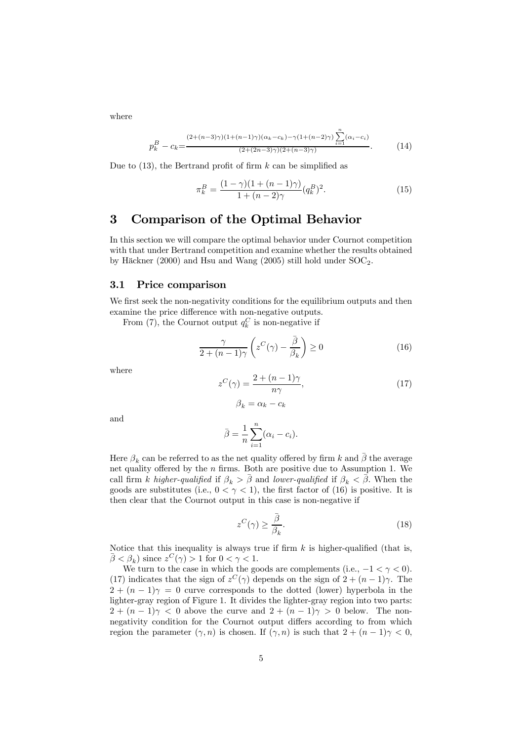where

$$
p_k^B - c_k = \frac{(2 + (n-3)\gamma)(1 + (n-1)\gamma)(\alpha_k - c_k) - \gamma(1 + (n-2)\gamma)\sum_{i=1}^n (\alpha_i - c_i)}{(2 + (2n-3)\gamma)(2 + (n-3)\gamma)}.
$$
 (14)

Due to  $(13)$ , the Bertrand profit of firm k can be simplified as

$$
\pi_k^B = \frac{(1 - \gamma)(1 + (n - 1)\gamma)}{1 + (n - 2)\gamma} (q_k^B)^2.
$$
\n(15)

### 3 Comparison of the Optimal Behavior

In this section we will compare the optimal behavior under Cournot competition with that under Bertrand competition and examine whether the results obtained by Häckner (2000) and Hsu and Wang (2005) still hold under  $SOC<sub>2</sub>$ .

### 3.1 Price comparison

We first seek the non-negativity conditions for the equilibrium outputs and then examine the price difference with non-negative outputs.

From (7), the Cournot output  $q_k^C$  is non-negative if

$$
\frac{\gamma}{2 + (n-1)\gamma} \left( z^C(\gamma) - \frac{\bar{\beta}}{\beta_k} \right) \ge 0 \tag{16}
$$

where

$$
z^{C}(\gamma) = \frac{2 + (n - 1)\gamma}{n\gamma},
$$
  
\n
$$
\beta_{k} = \alpha_{k} - c_{k}
$$
\n(17)

and

$$
\bar{\beta} = \frac{1}{n} \sum_{i=1}^{n} (\alpha_i - c_i).
$$

Here  $\beta_k$  can be referred to as the net quality offered by firm k and  $\bar{\beta}$  the average net quality offered by the  $n$  firms. Both are positive due to Assumption 1. We call firm k higher-qualified if  $\beta_k > \bar{\beta}$  and lower-qualified if  $\beta_k < \bar{\beta}$ . When the goods are substitutes (i.e.,  $0 < \gamma < 1$ ), the first factor of (16) is positive. It is then clear that the Cournot output in this case is non-negative if

$$
z^{C}(\gamma) \ge \frac{\bar{\beta}}{\beta_{k}}.\tag{18}
$$

Notice that this inequality is always true if firm  $k$  is higher-qualified (that is,  $\bar{\beta} < \beta_k$ ) since  $z^C(\gamma) > 1$  for  $0 < \gamma < 1$ .

We turn to the case in which the goods are complements (i.e.,  $-1 < \gamma < 0$ ). (17) indicates that the sign of  $z^C(\gamma)$  depends on the sign of  $2+(n-1)\gamma$ . The  $2+(n-1)\gamma = 0$  curve corresponds to the dotted (lower) hyperbola in the lighter-gray region of Figure 1. It divides the lighter-gray region into two parts:  $2+(n-1)\gamma < 0$  above the curve and  $2+(n-1)\gamma > 0$  below. The nonnegativity condition for the Cournot output differs according to from which region the parameter  $(\gamma, n)$  is chosen. If  $(\gamma, n)$  is such that  $2 + (n - 1)\gamma < 0$ ,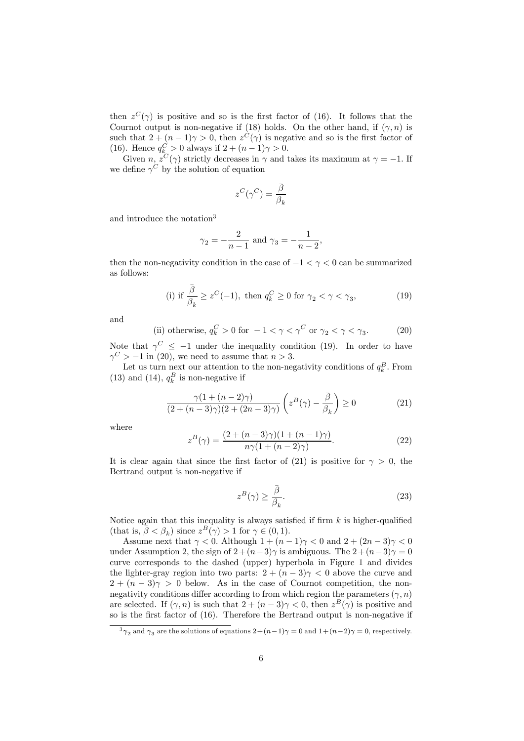then  $z^{C}(\gamma)$  is positive and so is the first factor of (16). It follows that the Cournot output is non-negative if (18) holds. On the other hand, if  $(\gamma, n)$  is such that  $2+(n-1)\gamma > 0$ , then  $z^{C}(\gamma)$  is negative and so is the first factor of (16). Hence  $q_k^C > 0$  always if  $2 + (n - 1)\gamma > 0$ .

Given  $n, z^C(\gamma)$  strictly decreases in  $\gamma$  and takes its maximum at  $\gamma = -1$ . If we define  $\gamma^{C}$  by the solution of equation

$$
z^C(\gamma^C) = \frac{\bar{\beta}}{\beta_k}
$$

and introduce the notation<sup>3</sup>

$$
\gamma_2 = -\frac{2}{n-1}
$$
 and  $\gamma_3 = -\frac{1}{n-2}$ ,

then the non-negativity condition in the case of  $-1 < \gamma < 0$  can be summarized as follows:

(i) if 
$$
\frac{\bar{\beta}}{\beta_k} \ge z^C(-1)
$$
, then  $q_k^C \ge 0$  for  $\gamma_2 < \gamma < \gamma_3$ , (19)

and

(ii) otherwise, 
$$
q_k^C > 0
$$
 for  $-1 < \gamma < \gamma^C$  or  $\gamma_2 < \gamma < \gamma_3$ . (20)

Note that  $\gamma^C \leq -1$  under the inequality condition (19). In order to have  $\gamma^C > -1$  in (20), we need to assume that  $n > 3$ .

Let us turn next our attention to the non-negativity conditions of  $q_k^B$ . From (13) and (14),  $q_k^B$  is non-negative if

$$
\frac{\gamma(1+(n-2)\gamma)}{(2+(n-3)\gamma)(2+(2n-3)\gamma)} \left(z^B(\gamma) - \frac{\bar{\beta}}{\beta_k}\right) \ge 0
$$
\n(21)

where

$$
z^{B}(\gamma) = \frac{(2 + (n-3)\gamma)(1 + (n-1)\gamma)}{n\gamma(1 + (n-2)\gamma)}.
$$
 (22)

It is clear again that since the first factor of (21) is positive for  $\gamma > 0$ , the Bertrand output is non-negative if

$$
z^{B}(\gamma) \ge \frac{\bar{\beta}}{\beta_{k}}.\tag{23}
$$

Notice again that this inequality is always satisfied if firm  $k$  is higher-qualified (that is,  $\bar{\beta} < \beta_k$ ) since  $z^B(\gamma) > 1$  for  $\gamma \in (0, 1)$ .

Assume next that  $\gamma < 0$ . Although  $1 + (n - 1)\gamma < 0$  and  $2 + (2n - 3)\gamma < 0$ under Assumption 2, the sign of  $2+(n-3)\gamma$  is ambiguous. The  $2+(n-3)\gamma=0$ curve corresponds to the dashed (upper) hyperbola in Figure 1 and divides the lighter-gray region into two parts:  $2+(n-3)\gamma < 0$  above the curve and  $2+(n-3)\gamma > 0$  below. As in the case of Cournot competition, the nonnegativity conditions differ according to from which region the parameters  $(\gamma, n)$ are selected. If  $(\gamma, n)$  is such that  $2 + (n - 3)\gamma < 0$ , then  $z^{B}(\gamma)$  is positive and so is the first factor of (16). Therefore the Bertrand output is non-negative if

 $\frac{3}{2}$  and  $\gamma_3$  are the solutions of equations  $2+(n-1)\gamma=0$  and  $1+(n-2)\gamma=0$ , respectively.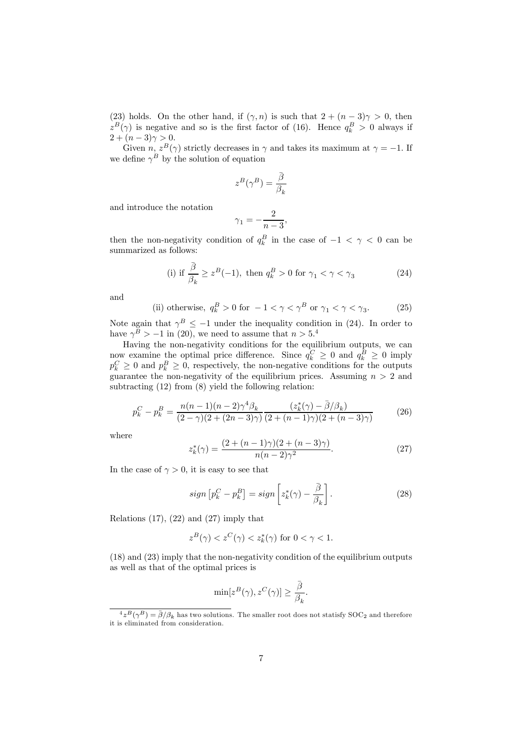(23) holds. On the other hand, if  $(\gamma, n)$  is such that  $2 + (n - 3)\gamma > 0$ , then  $z^B(\gamma)$  is negative and so is the first factor of (16). Hence  $q_k^B > 0$  always if  $2+(n-3)\gamma > 0.$ 

Given  $n, z^B(\gamma)$  strictly decreases in  $\gamma$  and takes its maximum at  $\gamma = -1$ . If we define  $\gamma^B$  by the solution of equation

$$
z^B(\gamma^B) = \frac{\bar{\beta}}{\beta_k}
$$

and introduce the notation

$$
\gamma_1 = -\frac{2}{n-3},
$$

then the non-negativity condition of  $q_k^B$  in the case of  $-1 < \gamma < 0$  can be summarized as follows:

(i) if 
$$
\frac{\bar{\beta}}{\beta_k} \ge z^B(-1)
$$
, then  $q_k^B > 0$  for  $\gamma_1 < \gamma < \gamma_3$  (24)

and

(ii) otherwise, 
$$
q_k^B > 0
$$
 for  $-1 < \gamma < \gamma^B$  or  $\gamma_1 < \gamma < \gamma_3$ . (25)

Note again that  $\gamma^B \leq -1$  under the inequality condition in (24). In order to have  $\gamma^B > -1$  in (20), we need to assume that  $n > 5.4$ 

Having the non-negativity conditions for the equilibrium outputs, we can now examine the optimal price difference. Since  $q_k^C \geq 0$  and  $q_k^B \geq 0$  imply  $p_k^C \geq 0$  and  $p_k^B \geq 0$ , respectively, the non-negative conditions for the outputs guarantee the non-negativity of the equilibrium prices. Assuming  $n > 2$  and subtracting  $(12)$  from  $(8)$  yield the following relation:

$$
p_k^C - p_k^B = \frac{n(n-1)(n-2)\gamma^4 \beta_k}{(2-\gamma)(2+(2n-3)\gamma)} \frac{(z_k^*(\gamma) - \bar{\beta}/\beta_k)}{(2+(n-1)\gamma)(2+(n-3)\gamma)} \tag{26}
$$

where

$$
z_k^*(\gamma) = \frac{(2 + (n-1)\gamma)(2 + (n-3)\gamma)}{n(n-2)\gamma^2}.
$$
 (27)

In the case of  $\gamma > 0$ , it is easy to see that

$$
sign\left[p_k^C - p_k^B\right] = sign\left[z_k^*(\gamma) - \frac{\bar{\beta}}{\beta_k}\right].\tag{28}
$$

Relations  $(17)$ ,  $(22)$  and  $(27)$  imply that

$$
z^{B}(\gamma) < z^{C}(\gamma) < z_{k}^{*}(\gamma) \text{ for } 0 < \gamma < 1.
$$

(18) and (23) imply that the non-negativity condition of the equilibrium outputs as well as that of the optimal prices is

$$
\min[z^B(\gamma),z^C(\gamma)] \geq \frac{\bar{\beta}}{\beta_k}.
$$

 $\frac{4}{2}B(\gamma^B) = \frac{1}{\beta}(\beta_k)$  has two solutions. The smaller root does not statisfy SOC<sub>2</sub> and therefore it is eliminated from consideration.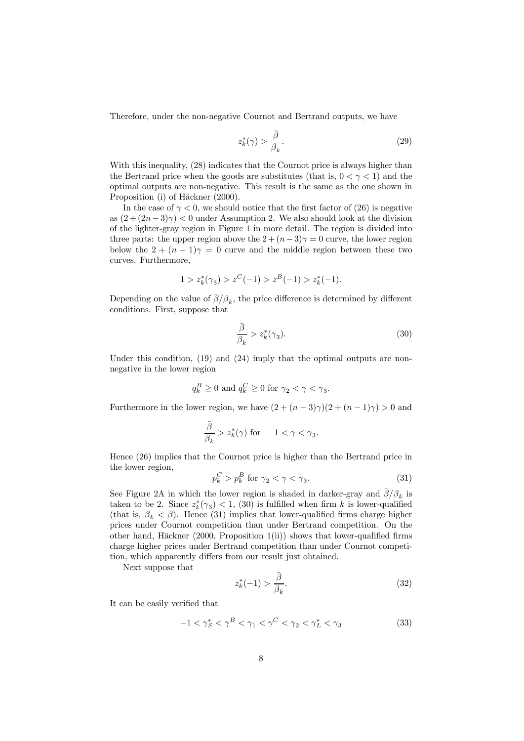Therefore, under the non-negative Cournot and Bertrand outputs, we have

$$
z_k^*(\gamma) > \frac{\bar{\beta}}{\beta_k}.\tag{29}
$$

With this inequality,  $(28)$  indicates that the Cournot price is always higher than the Bertrand price when the goods are substitutes (that is,  $0 < \gamma < 1$ ) and the optimal outputs are non-negative. This result is the same as the one shown in Proposition (i) of Häckner (2000).

In the case of  $\gamma < 0$ , we should notice that the first factor of (26) is negative as  $(2+(2n-3)\gamma) < 0$  under Assumption 2. We also should look at the division of the lighter-gray region in Figure 1 in more detail. The region is divided into three parts: the upper region above the  $2+(n-3)\gamma=0$  curve, the lower region below the  $2+(n-1)\gamma=0$  curve and the middle region between these two curves. Furthermore,

$$
1 > z_k^*(\gamma_3) > z^C(-1) > z^B(-1) > z_k^*(-1).
$$

Depending on the value of  $\bar{\beta}/\beta_k$ , the price difference is determined by different conditions. First, suppose that

$$
\frac{\overline{\beta}}{\beta_k} > z_k^*(\gamma_3). \tag{30}
$$

Under this condition, (19) and (24) imply that the optimal outputs are nonnegative in the lower region

$$
q_k^B \ge 0
$$
 and  $q_k^C \ge 0$  for  $\gamma_2 < \gamma < \gamma_3$ .

Furthermore in the lower region, we have  $(2 + (n-3)\gamma)(2 + (n-1)\gamma) > 0$  and

$$
\frac{\bar{\beta}}{\beta_k} > z_k^*(\gamma) \text{ for } -1 < \gamma < \gamma_3.
$$

Hence (26) implies that the Cournot price is higher than the Bertrand price in the lower region,

$$
p_k^C > p_k^B \text{ for } \gamma_2 < \gamma < \gamma_3. \tag{31}
$$

See Figure 2A in which the lower region is shaded in darker-gray and  $\beta/\beta_k$  is taken to be 2. Since  $z^*_{k}(\gamma_3) < 1$ , (30) is fulfilled when firm k is lower-qualified (that is,  $\beta_k < \overline{\beta}$ ). Hence (31) implies that lower-qualified firms charge higher prices under Cournot competition than under Bertrand competition. On the other hand, Häckner  $(2000, \text{Proposition 1(ii)})$  shows that lower-qualified firms charge higher prices under Bertrand competition than under Cournot competition, which apparently differs from our result just obtained.

Next suppose that

$$
z_k^*(-1) > \frac{\bar{\beta}}{\beta_k}.\tag{32}
$$

It can be easily verified that

$$
-1 < \gamma_S^* < \gamma^B < \gamma_1 < \gamma^C < \gamma_2 < \gamma_L^* < \gamma_3 \tag{33}
$$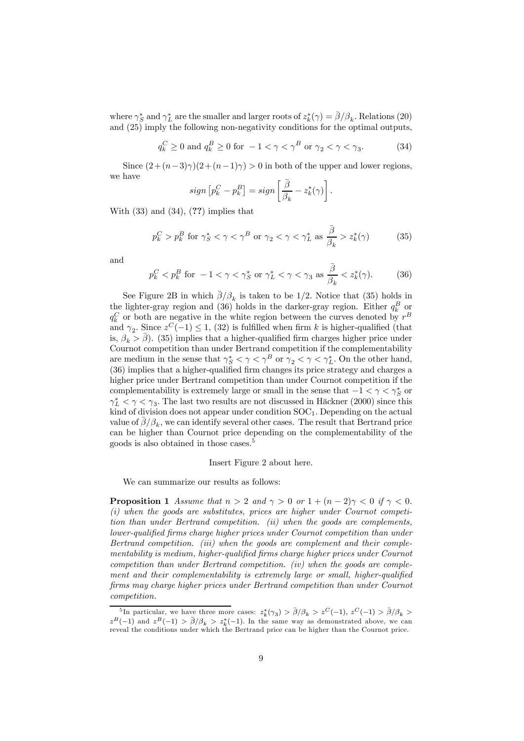where  $\gamma_S^*$  and  $\gamma_L^*$  are the smaller and larger roots of  $z_k^*(\gamma) = \bar{\beta}/\beta_k$ . Relations (20) and (25) imply the following non-negativity conditions for the optimal outputs,

$$
q_k^C \ge 0 \text{ and } q_k^B \ge 0 \text{ for } -1 < \gamma < \gamma^B \text{ or } \gamma_2 < \gamma < \gamma_3. \tag{34}
$$

Since  $(2+(n-3)\gamma)(2+(n-1)\gamma) > 0$  in both of the upper and lower regions, we have

$$
sign [p_k^C - p_k^B] = sign \left[\frac{\bar{\beta}}{\beta_k} - z_k^*(\gamma)\right].
$$

With  $(33)$  and  $(34)$ ,  $(?)$  implies that

$$
p_k^C > p_k^B \text{ for } \gamma_S^* < \gamma < \gamma^B \text{ or } \gamma_2 < \gamma < \gamma_L^* \text{ as } \frac{\bar{\beta}}{\beta_k} > z_k^*(\gamma) \tag{35}
$$

and

$$
p_k^C < p_k^B \text{ for } -1 < \gamma < \gamma_S^* \text{ or } \gamma_L^* < \gamma < \gamma_3 \text{ as } \frac{\bar{\beta}}{\beta_k} < z_k^*(\gamma). \tag{36}
$$

See Figure 2B in which  $\bar{\beta}/\beta_k$  is taken to be 1/2. Notice that (35) holds in the lighter-gray region and (36) holds in the darker-gray region. Either  $q_k^B$  or  $q_k^C$  or both are negative in the white region between the curves denoted by  $r^B$ and  $\gamma_2$ . Since  $z^C(-1) \leq 1$ , (32) is fulfilled when firm k is higher-qualified (that is,  $\beta_k > \beta$ . (35) implies that a higher-qualified firm charges higher price under Cournot competition than under Bertrand competition if the complementability are medium in the sense that  $\gamma_S^* < \gamma < \gamma^B$  or  $\gamma_2 < \gamma < \gamma_L^*$ . On the other hand, (36) implies that a higher-qualified firm changes its price strategy and charges a higher price under Bertrand competition than under Cournot competition if the complementability is extremely large or small in the sense that  $-1 < \gamma < \gamma_S^*$  or  $\gamma_L^* < \gamma < \gamma_3$ . The last two results are not discussed in Häckner (2000) since this kind of division does not appear under condition  $SOC<sub>1</sub>$ . Depending on the actual value of  $\bar{\beta}/\beta_k$ , we can identify several other cases. The result that Bertrand price can be higher than Cournot price depending on the complementability of the goods is also obtained in those cases.5

#### Insert Figure 2 about here.

We can summarize our results as follows:

**Proposition 1** Assume that  $n > 2$  and  $\gamma > 0$  or  $1 + (n - 2)\gamma < 0$  if  $\gamma < 0$ . (i) when the goods are substitutes, prices are higher under Cournot competition than under Bertrand competition. (ii) when the goods are complements, lower-qualified firms charge higher prices under Cournot competition than under Bertrand competition. (iii) when the goods are complement and their complementability is medium, higher-qualified firms charge higher prices under Cournot competition than under Bertrand competition. (iv) when the goods are complement and their complementability is extremely large or small, higher-qualified firms may charge higher prices under Bertrand competition than under Cournot competition.

<sup>&</sup>lt;sup>5</sup>In particular, we have three more cases:  $z_k^*(\gamma_3) > \bar{\beta}/\beta_k > z^C(-1)$ ,  $z^C(-1) > \bar{\beta}/\beta_k >$  $z^{B}(-1)$  and  $z^{B}(-1) > \bar{\beta}/\beta_{k} > z_{k}^{*}(-1)$ . In the same way as demonstrated above, we can reveal the conditions under which the Bertrand price can be higher than the Cournot price.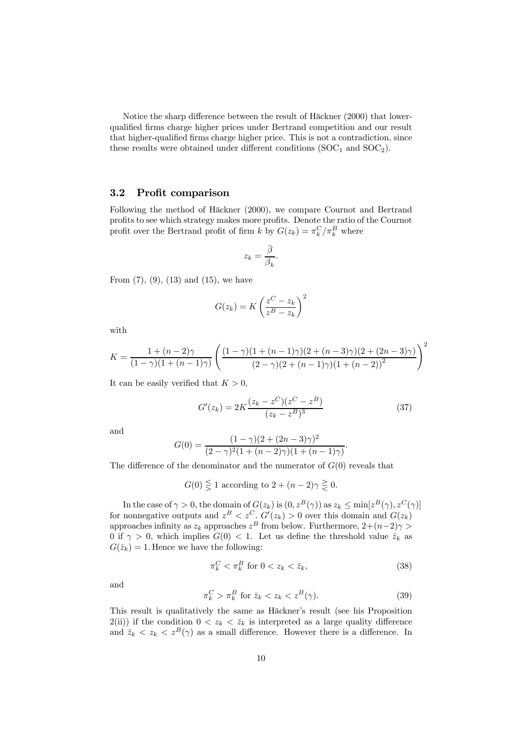Notice the sharp difference between the result of Häckner (2000) that lowerqualified firms charge higher prices under Bertrand competition and our result that higher-qualified firms charge higher price. This is not a contradiction, since these results were obtained under different conditions  $(SOC<sub>1</sub>$  and  $SOC<sub>2</sub>)$ .

### 3.2 Profit comparison

Following the method of Häckner (2000), we compare Cournot and Bertrand profits to see which strategy makes more profits. Denote the ratio of the Cournot profit over the Bertrand profit of firm  $k$  by  $G(z_k) = \pi_k^C / \pi_k^B$  where

$$
z_k = \frac{\bar{\beta}}{\beta_k}.
$$

From  $(7)$ ,  $(9)$ ,  $(13)$  and  $(15)$ , we have

$$
G(z_k) = K \left(\frac{z^C - z_k}{z^B - z_k}\right)^2
$$

with

$$
K = \frac{1 + (n-2)\gamma}{(1-\gamma)(1 + (n-1)\gamma)} \left( \frac{(1-\gamma)(1 + (n-1)\gamma)(2 + (n-3)\gamma)(2 + (2n-3)\gamma)}{(2-\gamma)(2 + (n-1)\gamma)(1 + (n-2))^2} \right)^2
$$

It can be easily verified that  $K > 0$ ,

$$
G'(z_k) = 2K \frac{(z_k - z^C)(z^C - z^B)}{(z_k - z^B)^3}
$$
\n(37)

and

$$
G(0) = \frac{(1 - \gamma)(2 + (2n - 3)\gamma)^2}{(2 - \gamma)^2(1 + (n - 2)\gamma)(1 + (n - 1)\gamma)}.
$$

The difference of the denominator and the numerator of  $G(0)$  reveals that

$$
G(0) \lesseqqgtr 1
$$
 according to  $2 + (n - 2)\gamma \gtrless 0$ .

In the case of  $\gamma > 0$ , the domain of  $G(z_k)$  is  $(0, z^B(\gamma))$  as  $z_k \le \min[z^B(\gamma), z^C(\gamma)]$ for nonnegative outputs and  $z^B < z^C$ .  $G'(z_k) > 0$  over this domain and  $G(z_k)$ approaches infinity as  $z_k$  approaches  $z^B$  from below. Furthermore,  $2+(n-2)\gamma$ 0 if  $\gamma > 0$ , which implies  $G(0) < 1$ . Let us define the threshold value  $\bar{z}_k$  as  $G(\bar{z}_k)=1$ . Hence we have the following:

$$
\pi_k^C < \pi_k^B \text{ for } 0 < z_k < \bar{z}_k,\tag{38}
$$

and

$$
\pi_k^C > \pi_k^B \text{ for } \bar{z}_k < z_k < z^B(\gamma). \tag{39}
$$

This result is qualitatively the same as Häckner's result (see his Proposition  $2(i)$  if the condition  $0 < z_k < \bar{z}_k$  is interpreted as a large quality difference and  $\overline{z}_k < z_k < z^B(\gamma)$  as a small difference. However there is a difference. In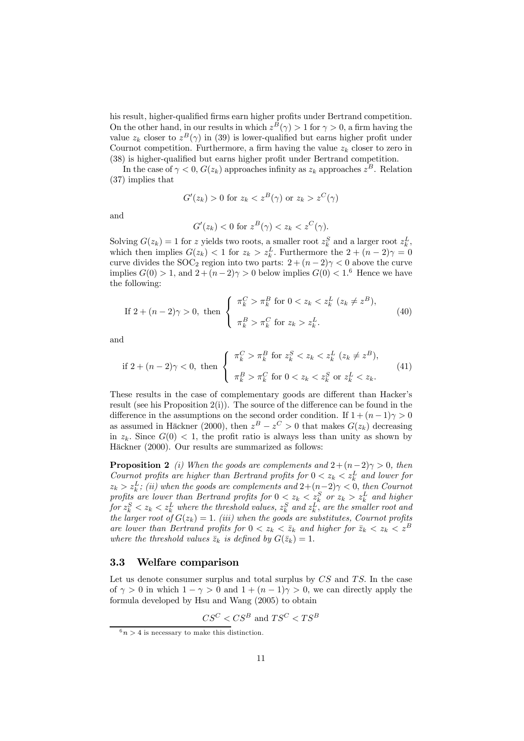his result, higher-qualified firms earn higher profits under Bertrand competition. On the other hand, in our results in which  $z^{B}(\gamma) > 1$  for  $\gamma > 0$ , a firm having the value  $z_k$  closer to  $z^B(\gamma)$  in (39) is lower-qualified but earns higher profit under Cournot competition. Furthermore, a firm having the value  $z_k$  closer to zero in (38) is higher-qualified but earns higher profit under Bertrand competition.

In the case of  $\gamma < 0$ ,  $G(z_k)$  approaches infinity as  $z_k$  approaches  $z^B$ . Relation (37) implies that

$$
G'(z_k) > 0
$$
 for  $z_k < z^B(\gamma)$  or  $z_k > z^C(\gamma)$ 

and

$$
G'(z_k) < 0 \text{ for } z^B(\gamma) < z_k < z^C(\gamma).
$$

Solving  $G(z_k) = 1$  for z yields two roots, a smaller root  $z_k^S$  and a larger root  $z_k^L$ , which then implies  $G(z_k) < 1$  for  $z_k > z_k^L$ . Furthermore the  $2 + (n-2)\gamma = 0$ curve divides the SOC<sub>2</sub> region into two parts:  $2 + (n-2)\gamma < 0$  above the curve implies  $G(0) > 1$ , and  $2 + (n-2)\gamma > 0$  below implies  $G(0) < 1.6$  Hence we have the following:

If 
$$
2 + (n-2)\gamma > 0
$$
, then 
$$
\begin{cases} \pi_k^C > \pi_k^B \text{ for } 0 < z_k < z_k^L \ (z_k \neq z^B), \\ \pi_k^B > \pi_k^C \text{ for } z_k > z_k^L. \end{cases}
$$
(40)

and

$$
\text{if } 2 + (n-2)\gamma < 0, \text{ then } \begin{cases} \pi_k^C > \pi_k^B \text{ for } z_k^S < z_k < z_k^L \ (z_k \neq z^B), \\ \pi_k^B > \pi_k^C \text{ for } 0 < z_k < z_k^S \text{ or } z_k^L < z_k. \end{cases} \tag{41}
$$

These results in the case of complementary goods are different than Hacker's result (see his Proposition  $2(i)$ ). The source of the difference can be found in the difference in the assumptions on the second order condition. If  $1 + (n - 1)\gamma > 0$ as assumed in Häckner (2000), then  $z^B - z^C > 0$  that makes  $G(z_k)$  decreasing in  $z_k$ . Since  $G(0) < 1$ , the profit ratio is always less than unity as shown by Häckner (2000). Our results are summarized as follows:

**Proposition 2** (i) When the goods are complements and  $2+(n-2)\gamma > 0$ , then Cournot profits are higher than Bertrand profits for  $0 < z_k < z_k^L$  and lower for  $z_k > z_k^L$ ; (ii) when the goods are complements and  $2+(n-2)\gamma < 0$ , then Cournot profits are lower than Bertrand profits for  $0 < z_k < z_k^S$  or  $z_k > z_k^L$  and higher for  $z_k^S < z_k < z_k^L$  where the threshold values,  $z_k^S$  and  $z_k^L$ , are the smaller root and the larger root of  $G(z_k)=1$ . (iii) when the goods are substitutes, Cournot profits are lower than Bertrand profits for  $0 < z_k < \bar{z}_k$  and higher for  $\bar{z}_k < z_k < z^B$ where the threshold values  $\bar{z}_k$  is defined by  $G(\bar{z}_k)=1$ .

### 3.3 Welfare comparison

Let us denote consumer surplus and total surplus by  $CS$  and  $TS$ . In the case of  $\gamma > 0$  in which  $1 - \gamma > 0$  and  $1 + (n - 1)\gamma > 0$ , we can directly apply the formula developed by Hsu and Wang (2005) to obtain

$$
CS^C < CS^B
$$
 and  $TS^C < TS^B$ 

 $6n > 4$  is necessary to make this distinction.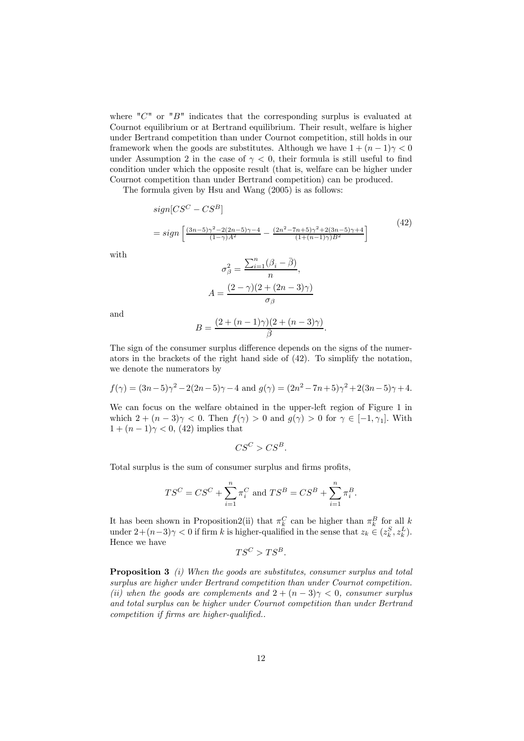where " $C$ " or " $B$ " indicates that the corresponding surplus is evaluated at Cournot equilibrium or at Bertrand equilibrium. Their result, welfare is higher under Bertrand competition than under Cournot competition, still holds in our framework when the goods are substitutes. Although we have  $1+(n-1)\gamma < 0$ under Assumption 2 in the case of  $\gamma < 0$ , their formula is still useful to find condition under which the opposite result (that is, welfare can be higher under Cournot competition than under Bertrand competition) can be produced.

The formula given by Hsu and Wang (2005) is as follows:

$$
sign[CS^{C} - CS^{B}]
$$
\n
$$
= sign\left[\frac{(3n-5)\gamma^{2} - 2(2n-5)\gamma - 4}{(1-\gamma)A^{2}} - \frac{(2n^{2} - 7n+5)\gamma^{2} + 2(3n-5)\gamma + 4}{(1+(n-1)\gamma)B^{2}}\right]
$$
\n
$$
\sigma_{A}^{2} = \frac{\sum_{i=1}^{n}(\beta_{i} - \bar{\beta})}{(1+\gamma)\sigma_{A}^{2}}.
$$
\n(42)

with

$$
\sigma_{\beta}^{2} = \frac{\angle_{i=1}(\beta_{i} - \beta)}{n},
$$

$$
A = \frac{(2 - \gamma)(2 + (2n - 3)\gamma)}{\sigma_{\beta}}
$$

and

$$
B = \frac{(2 + (n-1)\gamma)(2 + (n-3)\gamma)}{\bar{\beta}}.
$$

The sign of the consumer surplus difference depends on the signs of the numerators in the brackets of the right hand side of (42). To simplify the notation, we denote the numerators by

$$
f(\gamma) = (3n-5)\gamma^2 - 2(2n-5)\gamma - 4 \text{ and } g(\gamma) = (2n^2 - 7n + 5)\gamma^2 + 2(3n-5)\gamma + 4.
$$

We can focus on the welfare obtained in the upper-left region of Figure 1 in which  $2 + (n - 3)\gamma < 0$ . Then  $f(\gamma) > 0$  and  $g(\gamma) > 0$  for  $\gamma \in [-1, \gamma_1]$ . With  $1+(n-1)\gamma < 0$ , (42) implies that

$$
CS^C>CS^B.
$$

Total surplus is the sum of consumer surplus and firms profits,

$$
TS^{C} = CS^{C} + \sum_{i=1}^{n} \pi_{i}^{C} \text{ and } TS^{B} = CS^{B} + \sum_{i=1}^{n} \pi_{i}^{B}.
$$

It has been shown in Proposition2(ii) that  $\pi_k^C$  can be higher than  $\pi_k^B$  for all k under  $2+(n-3)\gamma < 0$  if firm k is higher-qualified in the sense that  $z_k \in (z_k^S, z_k^L)$ . Hence we have

$$
TS^C > TS^B.
$$

**Proposition 3** (i) When the goods are substitutes, consumer surplus and total surplus are higher under Bertrand competition than under Cournot competition. (ii) when the goods are complements and  $2+(n-3)\gamma < 0$ , consumer surplus and total surplus can be higher under Cournot competition than under Bertrand competition if firms are higher-qualified..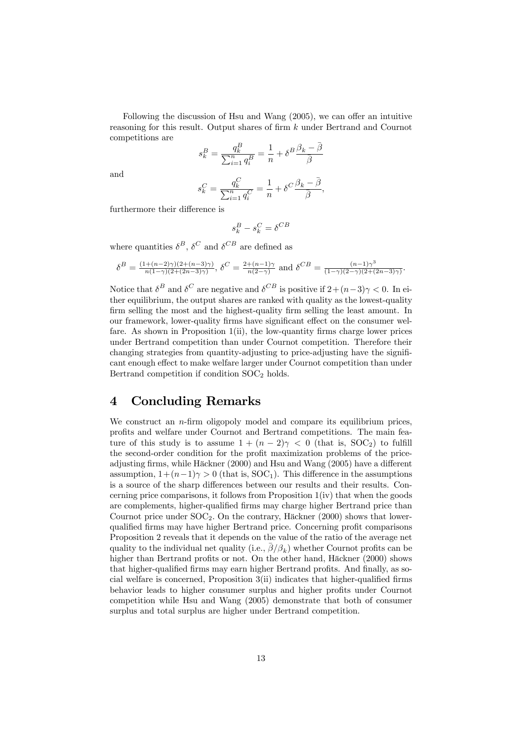Following the discussion of Hsu and Wang (2005), we can offer an intuitive reasoning for this result. Output shares of firm k under Bertrand and Cournot competitions are

$$
s_k^B = \frac{q_k^B}{\sum_{i=1}^n q_i^B} = \frac{1}{n} + \delta^B \frac{\beta_k - \overline{\beta}}{\overline{\beta}}
$$

and

$$
s_k^C = \frac{q_k^C}{\sum_{i=1}^n q_i^C} = \frac{1}{n} + \delta^C \frac{\beta_k - \bar{\beta}}{\bar{\beta}},
$$

furthermore their difference is

$$
s_k^B - s_k^C = \delta^{CB}
$$

where quantities  $\delta^B$ ,  $\delta^C$  and  $\delta^{CB}$  are defined as

$$
\delta^B = \frac{(1 + (n-2)\gamma)(2 + (n-3)\gamma)}{n(1-\gamma)(2 + (2n-3)\gamma)}, \ \delta^C = \frac{2 + (n-1)\gamma}{n(2-\gamma)} \ \text{and} \ \delta^{CB} = \frac{(n-1)\gamma^3}{(1-\gamma)(2-\gamma)(2 + (2n-3)\gamma)}.
$$

Notice that  $\delta^B$  and  $\delta^C$  are negative and  $\delta^{CB}$  is positive if  $2+(n-3)\gamma < 0$ . In either equilibrium, the output shares are ranked with quality as the lowest-quality firm selling the most and the highest-quality firm selling the least amount. In our framework, lower-quality firms have significant effect on the consumer welfare. As shown in Proposition 1(ii), the low-quantity firms charge lower prices under Bertrand competition than under Cournot competition. Therefore their changing strategies from quantity-adjusting to price-adjusting have the significant enough effect to make welfare larger under Cournot competition than under Bertrand competition if condition  $SOC<sub>2</sub>$  holds.

### 4 Concluding Remarks

We construct an  $n$ -firm oligopoly model and compare its equilibrium prices, profits and welfare under Cournot and Bertrand competitions. The main feature of this study is to assume  $1+(n-2)\gamma < 0$  (that is, SOC<sub>2</sub>) to fulfill the second-order condition for the profit maximization problems of the priceadjusting firms, while Häckner (2000) and Hsu and Wang (2005) have a different assumption,  $1+(n-1)\gamma > 0$  (that is, SOC<sub>1</sub>). This difference in the assumptions is a source of the sharp differences between our results and their results. Concerning price comparisons, it follows from Proposition 1(iv) that when the goods are complements, higher-qualified firms may charge higher Bertrand price than Cournot price under  $\text{SOC}_2$ . On the contrary, Häckner (2000) shows that lowerqualified firms may have higher Bertrand price. Concerning profit comparisons Proposition 2 reveals that it depends on the value of the ratio of the average net quality to the individual net quality (i.e.,  $\overline{\beta}/\beta_k$ ) whether Cournot profits can be higher than Bertrand profits or not. On the other hand, Häckner (2000) shows that higher-qualified firms may earn higher Bertrand profits. And finally, as social welfare is concerned, Proposition 3(ii) indicates that higher-qualified firms behavior leads to higher consumer surplus and higher profits under Cournot competition while Hsu and Wang (2005) demonstrate that both of consumer surplus and total surplus are higher under Bertrand competition.